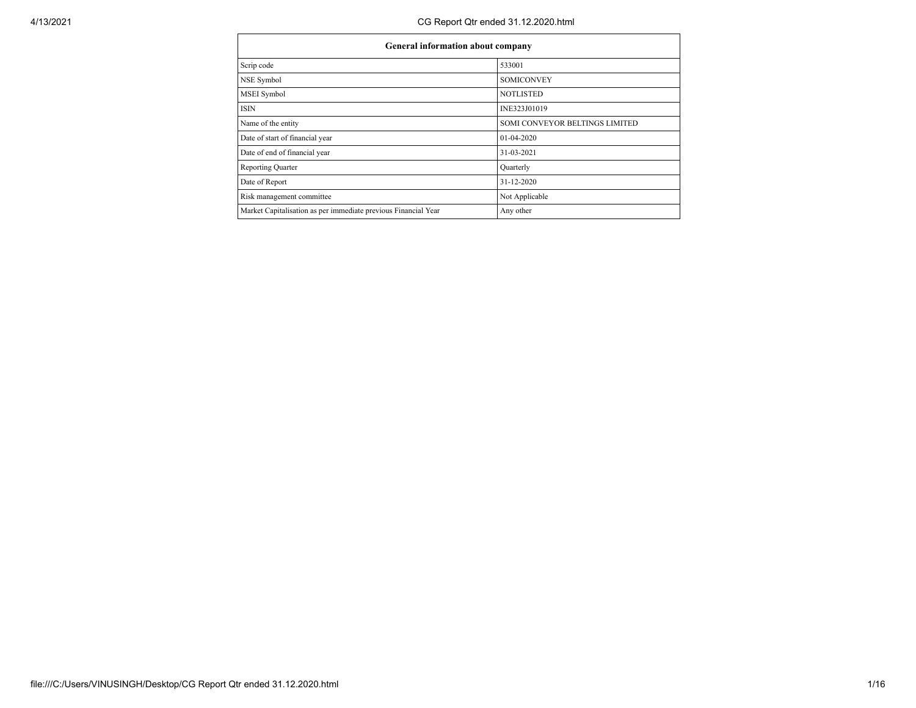| General information about company                              |                                |  |  |  |  |  |  |
|----------------------------------------------------------------|--------------------------------|--|--|--|--|--|--|
| Scrip code                                                     | 533001                         |  |  |  |  |  |  |
| NSE Symbol                                                     | <b>SOMICONVEY</b>              |  |  |  |  |  |  |
| MSEI Symbol                                                    | <b>NOTLISTED</b>               |  |  |  |  |  |  |
| <b>ISIN</b>                                                    | INE323J01019                   |  |  |  |  |  |  |
| Name of the entity                                             | SOMI CONVEYOR BELTINGS LIMITED |  |  |  |  |  |  |
| Date of start of financial year                                | $01-04-2020$                   |  |  |  |  |  |  |
| Date of end of financial year                                  | 31-03-2021                     |  |  |  |  |  |  |
| <b>Reporting Quarter</b>                                       | Quarterly                      |  |  |  |  |  |  |
| Date of Report                                                 | 31-12-2020                     |  |  |  |  |  |  |
| Risk management committee                                      | Not Applicable                 |  |  |  |  |  |  |
| Market Capitalisation as per immediate previous Financial Year | Any other                      |  |  |  |  |  |  |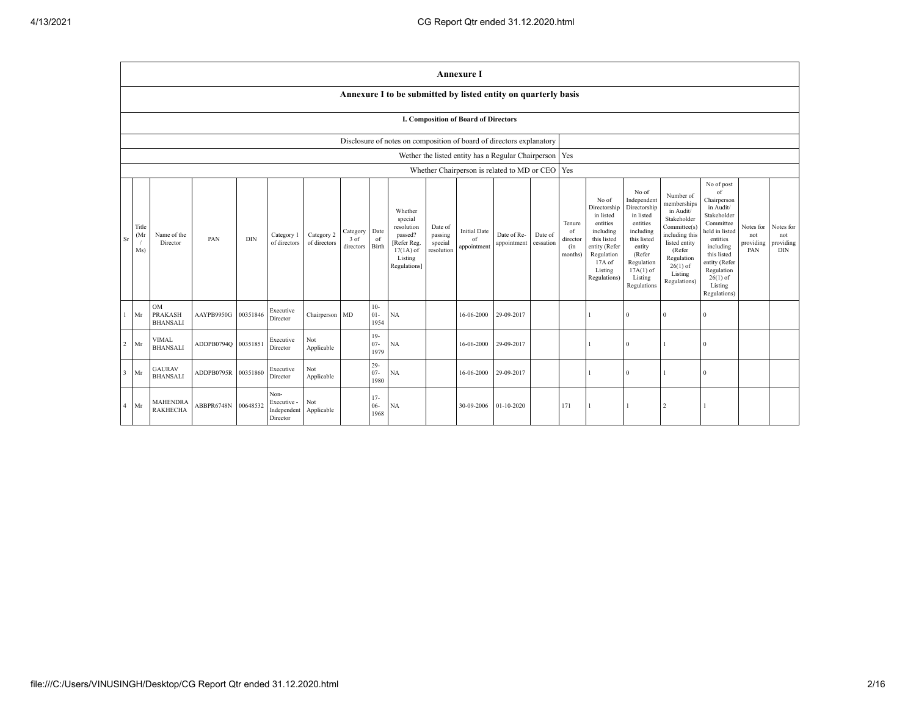|                         |                                                                      |                                                |            |            |                                                |                            |                               |                          |                                                                                                      |                                             | <b>Annexure I</b>                        |                                                   |                      |                                            |                                                                                                                                                |                                                                                                                                                                      |                                                                                                                                                                          |                                                                                                                                                                                                            |                                      |                                             |
|-------------------------|----------------------------------------------------------------------|------------------------------------------------|------------|------------|------------------------------------------------|----------------------------|-------------------------------|--------------------------|------------------------------------------------------------------------------------------------------|---------------------------------------------|------------------------------------------|---------------------------------------------------|----------------------|--------------------------------------------|------------------------------------------------------------------------------------------------------------------------------------------------|----------------------------------------------------------------------------------------------------------------------------------------------------------------------|--------------------------------------------------------------------------------------------------------------------------------------------------------------------------|------------------------------------------------------------------------------------------------------------------------------------------------------------------------------------------------------------|--------------------------------------|---------------------------------------------|
|                         |                                                                      |                                                |            |            |                                                |                            |                               |                          | Annexure I to be submitted by listed entity on quarterly basis                                       |                                             |                                          |                                                   |                      |                                            |                                                                                                                                                |                                                                                                                                                                      |                                                                                                                                                                          |                                                                                                                                                                                                            |                                      |                                             |
|                         |                                                                      | <b>I. Composition of Board of Directors</b>    |            |            |                                                |                            |                               |                          |                                                                                                      |                                             |                                          |                                                   |                      |                                            |                                                                                                                                                |                                                                                                                                                                      |                                                                                                                                                                          |                                                                                                                                                                                                            |                                      |                                             |
|                         | Disclosure of notes on composition of board of directors explanatory |                                                |            |            |                                                |                            |                               |                          |                                                                                                      |                                             |                                          |                                                   |                      |                                            |                                                                                                                                                |                                                                                                                                                                      |                                                                                                                                                                          |                                                                                                                                                                                                            |                                      |                                             |
|                         | Wether the listed entity has a Regular Chairperson   Yes             |                                                |            |            |                                                |                            |                               |                          |                                                                                                      |                                             |                                          |                                                   |                      |                                            |                                                                                                                                                |                                                                                                                                                                      |                                                                                                                                                                          |                                                                                                                                                                                                            |                                      |                                             |
|                         |                                                                      |                                                |            |            |                                                |                            |                               |                          |                                                                                                      |                                             |                                          | Whether Chairperson is related to MD or CEO   Yes |                      |                                            |                                                                                                                                                |                                                                                                                                                                      |                                                                                                                                                                          |                                                                                                                                                                                                            |                                      |                                             |
| Sr                      | Title<br>(Mr<br>Ms)                                                  | Name of the<br>Director                        | PAN        | <b>DIN</b> | Category 1<br>of directors                     | Category 2<br>of directors | Category<br>3 of<br>directors | Date<br>of<br>Birth      | Whether<br>special<br>resolution<br>passed?<br>[Refer Reg.<br>$17(1A)$ of<br>Listing<br>Regulations] | Date of<br>passing<br>special<br>resolution | <b>Initial Date</b><br>of<br>appointment | Date of Re-<br>appointment                        | Date of<br>cessation | Tenure<br>of<br>director<br>(in<br>months) | No of<br>Directorship<br>in listed<br>entities<br>including<br>this listed<br>entity (Refer<br>Regulation<br>17A of<br>Listing<br>Regulations) | No of<br>Independent<br>Directorship<br>in listed<br>entities<br>including<br>this listed<br>entity<br>(Refer<br>Regulation<br>$17A(1)$ of<br>Listing<br>Regulations | Number of<br>memberships<br>in Audit/<br>Stakeholder<br>Committee(s)<br>including this<br>listed entity<br>(Refer<br>Regulation<br>$26(1)$ of<br>Listing<br>Regulations) | No of post<br>of<br>Chairperson<br>in Audit/<br>Stakeholder<br>Committee<br>held in listed<br>entities<br>including<br>this listed<br>entity (Refer<br>Regulation<br>$26(1)$ of<br>Listing<br>Regulations) | Notes for<br>not<br>providing<br>PAN | Notes for<br>not<br>providing<br><b>DIN</b> |
|                         | Mr                                                                   | <b>OM</b><br><b>PRAKASH</b><br><b>BHANSALI</b> | AAYPB9950G | 00351846   | Executive<br>Director                          | Chairperson MD             |                               | $10-$<br>$01 -$<br>1954  | NA                                                                                                   |                                             | 16-06-2000                               | 29-09-2017                                        |                      |                                            |                                                                                                                                                | $\Omega$                                                                                                                                                             | $\Omega$                                                                                                                                                                 |                                                                                                                                                                                                            |                                      |                                             |
| 2                       | Mr                                                                   | <b>VIMAL</b><br><b>BHANSALI</b>                | ADDPB0794Q | 00351851   | Executive<br>Director                          | Not<br>Applicable          |                               | $19-$<br>$07 -$<br>1979  | NA                                                                                                   |                                             | 16-06-2000                               | 29-09-2017                                        |                      |                                            |                                                                                                                                                | $\Omega$                                                                                                                                                             |                                                                                                                                                                          | $\Omega$                                                                                                                                                                                                   |                                      |                                             |
| $\overline{\mathbf{3}}$ | Mr                                                                   | <b>GAURAV</b><br><b>BHANSALI</b>               | ADDPB0795R | 00351860   | Executive<br>Director                          | Not<br>Applicable          |                               | $29 -$<br>$07 -$<br>1980 | NA                                                                                                   |                                             | 16-06-2000                               | 29-09-2017                                        |                      |                                            |                                                                                                                                                | $\theta$                                                                                                                                                             |                                                                                                                                                                          | $\Omega$                                                                                                                                                                                                   |                                      |                                             |
| $\overline{4}$          | Mr                                                                   | <b>MAHENDRA</b><br><b>RAKHECHA</b>             | ABBPR6748N | 00648532   | Non-<br>Executive -<br>Independent<br>Director | Not<br>Applicable          |                               | $17-$<br>$06 -$<br>1968  | <b>NA</b>                                                                                            |                                             | 30-09-2006                               | $01 - 10 - 2020$                                  |                      | 171                                        |                                                                                                                                                |                                                                                                                                                                      | $\overline{c}$                                                                                                                                                           |                                                                                                                                                                                                            |                                      |                                             |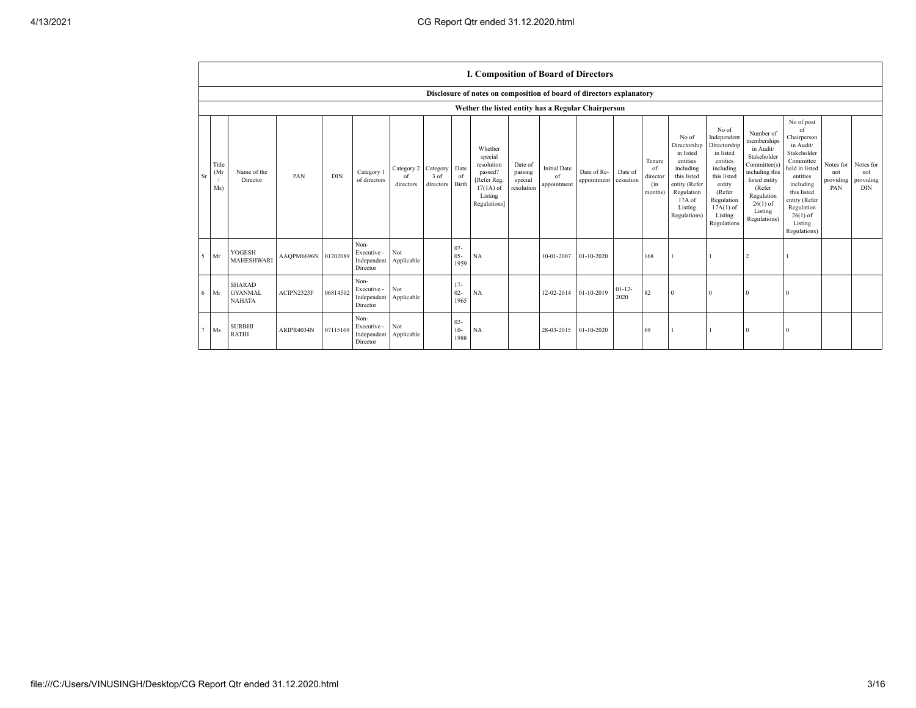|                                  |                                                  |                     |            |                                                |                               |                               |                          | I. Composition of Board of Directors                                                                 |                                             |                                          |                            |                      |                                            |                                                                                                                                                |                                                                                                                                                                      |                                                                                                                                                                          |                                                                                                                                                                                                            |                                      |                                             |
|----------------------------------|--------------------------------------------------|---------------------|------------|------------------------------------------------|-------------------------------|-------------------------------|--------------------------|------------------------------------------------------------------------------------------------------|---------------------------------------------|------------------------------------------|----------------------------|----------------------|--------------------------------------------|------------------------------------------------------------------------------------------------------------------------------------------------|----------------------------------------------------------------------------------------------------------------------------------------------------------------------|--------------------------------------------------------------------------------------------------------------------------------------------------------------------------|------------------------------------------------------------------------------------------------------------------------------------------------------------------------------------------------------------|--------------------------------------|---------------------------------------------|
|                                  |                                                  |                     |            |                                                |                               |                               |                          | Disclosure of notes on composition of board of directors explanatory                                 |                                             |                                          |                            |                      |                                            |                                                                                                                                                |                                                                                                                                                                      |                                                                                                                                                                          |                                                                                                                                                                                                            |                                      |                                             |
|                                  |                                                  |                     |            |                                                |                               |                               |                          | Wether the listed entity has a Regular Chairperson                                                   |                                             |                                          |                            |                      |                                            |                                                                                                                                                |                                                                                                                                                                      |                                                                                                                                                                          |                                                                                                                                                                                                            |                                      |                                             |
| Title<br>(Mr<br><b>Sr</b><br>Ms) | Name of the<br>Director                          | PAN                 | <b>DIN</b> | Category 1<br>of directors                     | Category 2<br>of<br>directors | Category<br>3 of<br>directors | Date<br>of<br>Birth      | Whether<br>special<br>resolution<br>passed?<br>[Refer Reg.<br>$17(1A)$ of<br>Listing<br>Regulations] | Date of<br>passing<br>special<br>resolution | <b>Initial Date</b><br>of<br>appointment | Date of Re-<br>appointment | Date of<br>cessation | Tenure<br>of<br>director<br>(in<br>months) | No of<br>Directorship<br>in listed<br>entities<br>including<br>this listed<br>entity (Refer<br>Regulation<br>17A of<br>Listing<br>Regulations) | No of<br>Independent<br>Directorship<br>in listed<br>entities<br>including<br>this listed<br>entity<br>(Refer<br>Regulation<br>$17A(1)$ of<br>Listing<br>Regulations | Number of<br>memberships<br>in Audit/<br>Stakeholder<br>Committee(s)<br>including this<br>listed entity<br>(Refer<br>Regulation<br>$26(1)$ of<br>Listing<br>Regulations) | No of post<br>of<br>Chairperson<br>in Audit/<br>Stakeholder<br>Committee<br>held in listed<br>entities<br>including<br>this listed<br>entity (Refer<br>Regulation<br>$26(1)$ of<br>Listing<br>Regulations) | Notes for<br>not<br>providing<br>PAN | Notes for<br>not<br>providing<br><b>DIN</b> |
| Mr<br>5                          | YOGESH<br>MAHESHWARI                             | AAQPM6696N 01202089 |            | Non-<br>Executive -<br>Independent<br>Director | Not<br>Applicable             |                               | $07 -$<br>$05 -$<br>1959 | NA                                                                                                   |                                             | 10-01-2007                               | 01-10-2020                 |                      | 168                                        |                                                                                                                                                |                                                                                                                                                                      |                                                                                                                                                                          |                                                                                                                                                                                                            |                                      |                                             |
| 6<br>Mr                          | <b>SHARAD</b><br><b>GYANMAL</b><br><b>NAHATA</b> | ACIPN2323F          | 06814502   | Non-<br>Executive -<br>Independent<br>Director | Not<br>Applicable             |                               | $17-$<br>$02 -$<br>1965  | <b>NA</b>                                                                                            |                                             | 12-02-2014                               | 01-10-2019                 | $01 - 12 -$<br>2020  | 82                                         | $\Omega$                                                                                                                                       | $\Omega$                                                                                                                                                             | $\Omega$                                                                                                                                                                 |                                                                                                                                                                                                            |                                      |                                             |
| Ms                               | <b>SURBHI</b><br><b>RATHI</b>                    | ARIPR4034N          | 07115169   | Non-<br>Executive -<br>Independent<br>Director | Not<br>Applicable             |                               | $02 -$<br>$10-$<br>1988  | <b>NA</b>                                                                                            |                                             | 28-03-2015                               | $01 - 10 - 2020$           |                      | 69                                         |                                                                                                                                                |                                                                                                                                                                      |                                                                                                                                                                          |                                                                                                                                                                                                            |                                      |                                             |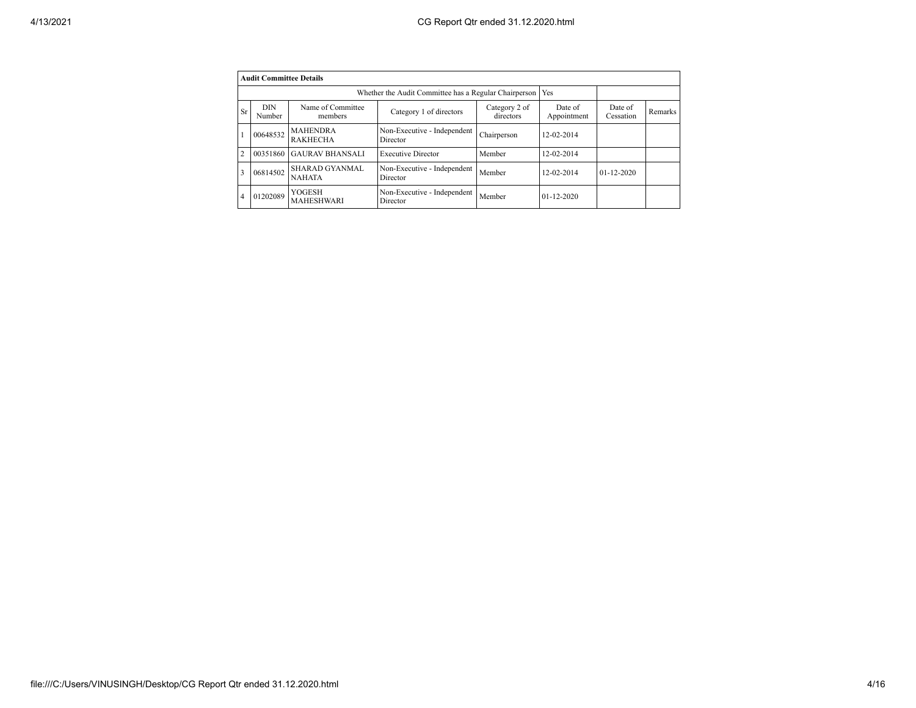|                | <b>Audit Committee Details</b>                                                                                |                                        |                                                       |                      |                  |                  |  |
|----------------|---------------------------------------------------------------------------------------------------------------|----------------------------------------|-------------------------------------------------------|----------------------|------------------|------------------|--|
|                |                                                                                                               |                                        | Whether the Audit Committee has a Regular Chairperson |                      | Yes              |                  |  |
| <b>Sr</b>      | <b>DIN</b><br>Name of Committee<br>Category 2 of<br>Category 1 of directors<br>directors<br>Number<br>members |                                        | Date of<br>Appointment                                | Date of<br>Cessation | Remarks          |                  |  |
|                | 00648532                                                                                                      | <b>MAHENDRA</b><br><b>RAKHECHA</b>     | Non-Executive - Independent<br>Director               | Chairperson          | 12-02-2014       |                  |  |
| $\overline{2}$ | 00351860                                                                                                      | <b>GAURAV BHANSALI</b>                 | <b>Executive Director</b>                             | Member               | 12-02-2014       |                  |  |
| 3              | 06814502                                                                                                      | <b>SHARAD GYANMAL</b><br><b>NAHATA</b> | Non-Executive - Independent<br>Director               | Member               | 12-02-2014       | $01 - 12 - 2020$ |  |
| $\overline{4}$ | 01202089                                                                                                      | YOGESH<br><b>MAHESHWARI</b>            | Non-Executive - Independent<br>Director               | Member               | $01 - 12 - 2020$ |                  |  |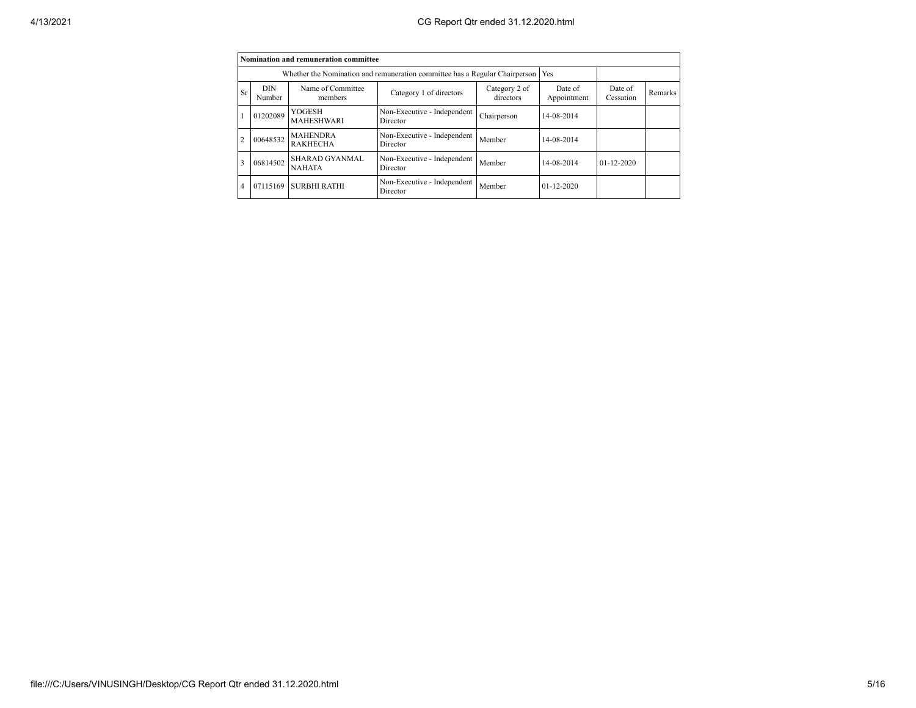|                |                                                                                                               | Nomination and remuneration committee |                                                                             |             |                        |                      |         |
|----------------|---------------------------------------------------------------------------------------------------------------|---------------------------------------|-----------------------------------------------------------------------------|-------------|------------------------|----------------------|---------|
|                |                                                                                                               |                                       | Whether the Nomination and remuneration committee has a Regular Chairperson |             | Yes                    |                      |         |
| Sr             | Name of Committee<br><b>DIN</b><br>Category 2 of<br>Category 1 of directors<br>directors<br>Number<br>members |                                       |                                                                             |             | Date of<br>Appointment | Date of<br>Cessation | Remarks |
|                | 01202089                                                                                                      | <b>YOGESH</b><br><b>MAHESHWARI</b>    | Non-Executive - Independent<br>Director                                     | Chairperson | 14-08-2014             |                      |         |
| $\overline{2}$ | 00648532                                                                                                      | <b>MAHENDRA</b><br><b>RAKHECHA</b>    | Non-Executive - Independent<br>Director                                     | Member      | 14-08-2014             |                      |         |
| 3              | 06814502                                                                                                      | SHARAD GYANMAL<br><b>NAHATA</b>       | Non-Executive - Independent<br>Director                                     | Member      | 14-08-2014             | $01 - 12 - 2020$     |         |
| $\overline{4}$ | 07115169                                                                                                      | <b>SURBHI RATHI</b>                   | Non-Executive - Independent<br>Director                                     | Member      | $01 - 12 - 2020$       |                      |         |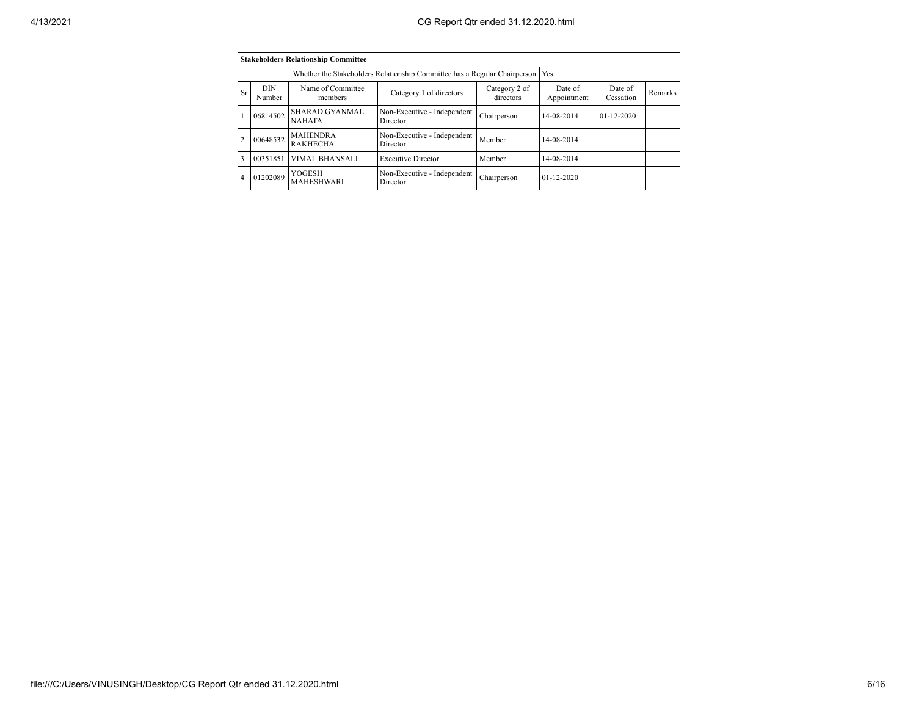|                |                                                                                                               | <b>Stakeholders Relationship Committee</b> |                                                                           |             |                        |                      |         |
|----------------|---------------------------------------------------------------------------------------------------------------|--------------------------------------------|---------------------------------------------------------------------------|-------------|------------------------|----------------------|---------|
|                |                                                                                                               |                                            | Whether the Stakeholders Relationship Committee has a Regular Chairperson |             | Yes                    |                      |         |
| Sr             | Name of Committee<br><b>DIN</b><br>Category 2 of<br>Category 1 of directors<br>directors<br>Number<br>members |                                            |                                                                           |             | Date of<br>Appointment | Date of<br>Cessation | Remarks |
|                | 06814502                                                                                                      | <b>SHARAD GYANMAL</b><br><b>NAHATA</b>     | Non-Executive - Independent<br>Chairperson<br>Director                    |             | 14-08-2014             | $01 - 12 - 2020$     |         |
| $\overline{c}$ | 00648532                                                                                                      | <b>MAHENDRA</b><br><b>RAKHECHA</b>         | Non-Executive - Independent<br>Director                                   | Member      | 14-08-2014             |                      |         |
| 3              | 00351851                                                                                                      | VIMAL BHANSALI                             | <b>Executive Director</b>                                                 | Member      | 14-08-2014             |                      |         |
| 4              | 01202089                                                                                                      | <b>YOGESH</b><br><b>MAHESHWARI</b>         | Non-Executive - Independent<br>Director                                   | Chairperson | $01 - 12 - 2020$       |                      |         |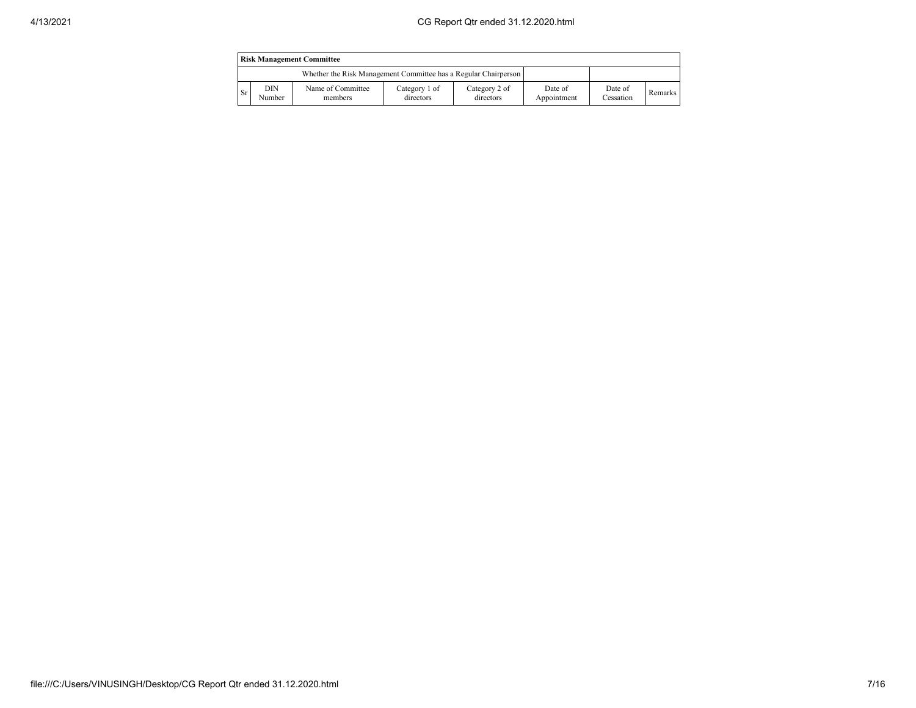|      | <b>Risk Management Committee</b>                                |                              |                            |                            |                        |                      |                |  |  |  |
|------|-----------------------------------------------------------------|------------------------------|----------------------------|----------------------------|------------------------|----------------------|----------------|--|--|--|
|      | Whether the Risk Management Committee has a Regular Chairperson |                              |                            |                            |                        |                      |                |  |  |  |
| l Sr | DIN<br>Number                                                   | Name of Committee<br>members | Category 1 of<br>directors | Category 2 of<br>directors | Date of<br>Appointment | Date of<br>Cessation | <b>Remarks</b> |  |  |  |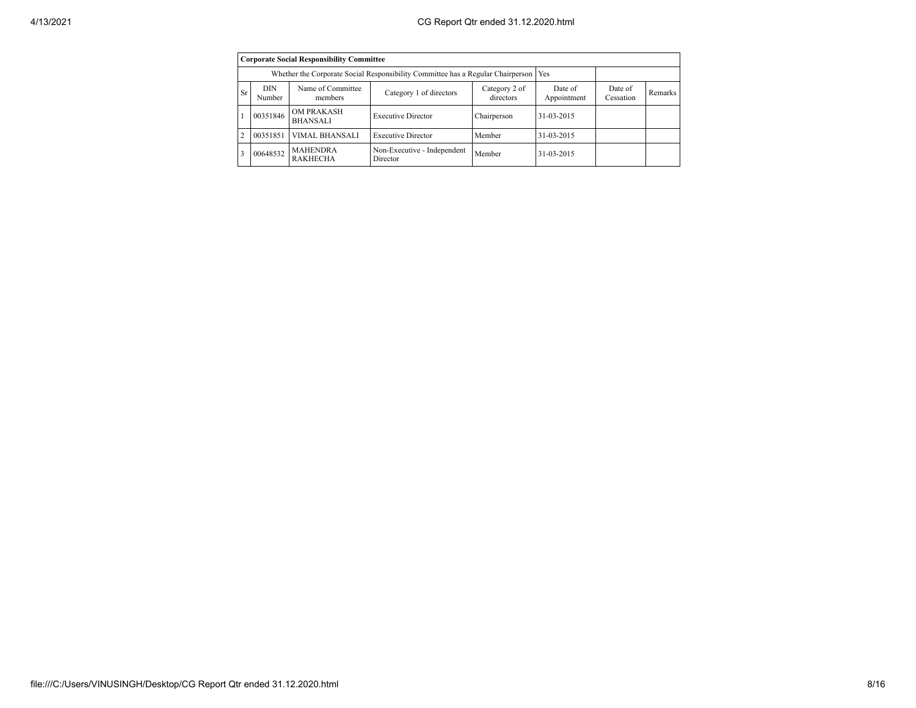|                | <b>Corporate Social Responsibility Committee</b> |                                                                                       |                                         |                            |                        |                      |         |  |  |  |  |
|----------------|--------------------------------------------------|---------------------------------------------------------------------------------------|-----------------------------------------|----------------------------|------------------------|----------------------|---------|--|--|--|--|
|                |                                                  | Whether the Corporate Social Responsibility Committee has a Regular Chairperson   Yes |                                         |                            |                        |                      |         |  |  |  |  |
| <b>Sr</b>      | <b>DIN</b><br>Number                             | Name of Committee<br>members                                                          | Category 1 of directors                 | Category 2 of<br>directors | Date of<br>Appointment | Date of<br>Cessation | Remarks |  |  |  |  |
|                | 00351846                                         | <b>OM PRAKASH</b><br><b>BHANSALI</b>                                                  | <b>Executive Director</b>               | Chairperson                | 31-03-2015             |                      |         |  |  |  |  |
| $\overline{c}$ | 00351851                                         | VIMAL BHANSALI                                                                        | <b>Executive Director</b>               | Member                     | 31-03-2015             |                      |         |  |  |  |  |
| ٩              | 00648532                                         | <b>MAHENDRA</b><br><b>RAKHECHA</b>                                                    | Non-Executive - Independent<br>Director | Member                     | 31-03-2015             |                      |         |  |  |  |  |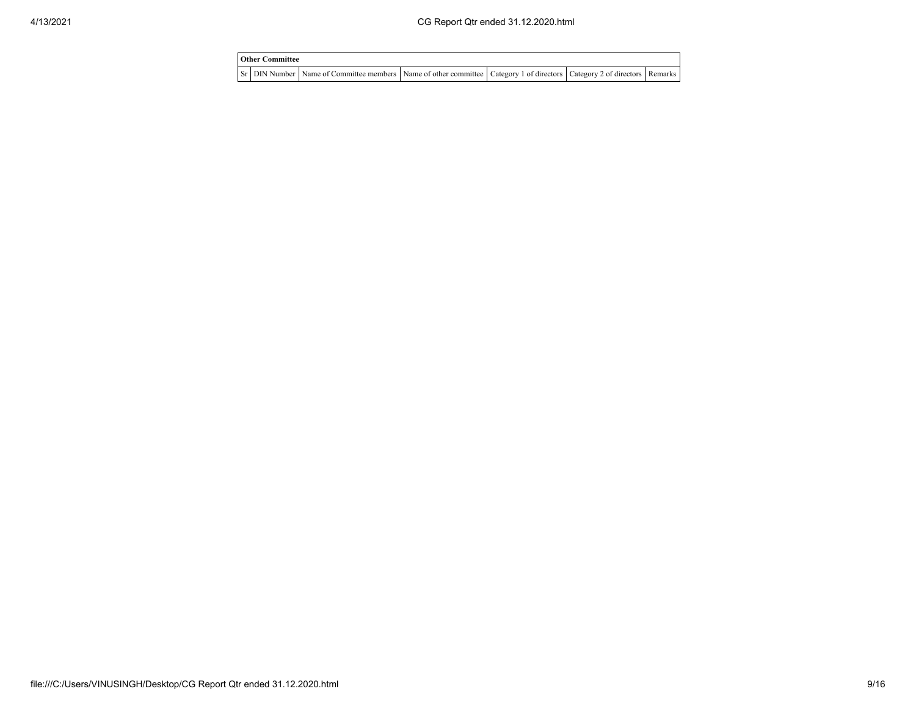| <b>Other Committee</b> |                                                                                                                                     |  |  |
|------------------------|-------------------------------------------------------------------------------------------------------------------------------------|--|--|
|                        | Sr   DIN Number   Name of Committee members   Name of other committee   Category 1 of directors   Category 2 of directors   Remarks |  |  |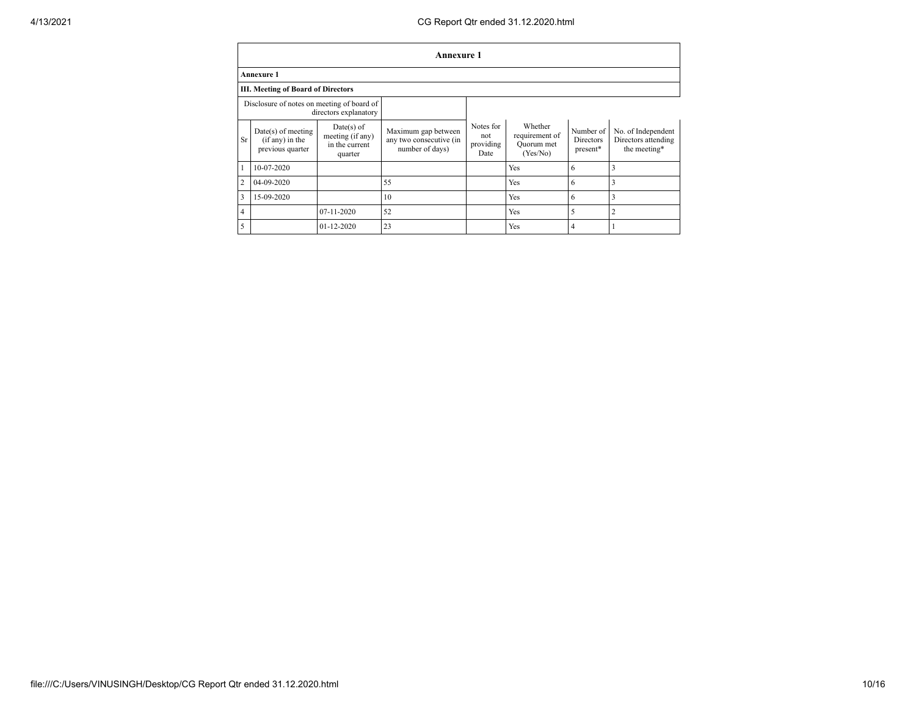## 4/13/2021 CG Report Qtr ended 31.12.2020.html

|                         |                                                             |                                                               | <b>Annexure 1</b>                                                 |                                       |                                                     |                                           |                                                           |
|-------------------------|-------------------------------------------------------------|---------------------------------------------------------------|-------------------------------------------------------------------|---------------------------------------|-----------------------------------------------------|-------------------------------------------|-----------------------------------------------------------|
|                         | <b>Annexure 1</b>                                           |                                                               |                                                                   |                                       |                                                     |                                           |                                                           |
|                         | <b>III. Meeting of Board of Directors</b>                   |                                                               |                                                                   |                                       |                                                     |                                           |                                                           |
|                         | Disclosure of notes on meeting of board of                  | directors explanatory                                         |                                                                   |                                       |                                                     |                                           |                                                           |
| <b>Sr</b>               | $Date(s)$ of meeting<br>(if any) in the<br>previous quarter | $Date(s)$ of<br>meeting (if any)<br>in the current<br>quarter | Maximum gap between<br>any two consecutive (in<br>number of days) | Notes for<br>not<br>providing<br>Date | Whether<br>requirement of<br>Quorum met<br>(Yes/No) | Number of<br><b>Directors</b><br>present* | No. of Independent<br>Directors attending<br>the meeting* |
|                         | 10-07-2020                                                  |                                                               |                                                                   |                                       | Yes                                                 | 6                                         | 3                                                         |
| $\overline{2}$          | 04-09-2020                                                  |                                                               | 55                                                                |                                       | Yes                                                 | 6                                         | 3                                                         |
| $\overline{\mathbf{3}}$ | 15-09-2020                                                  |                                                               | 10                                                                |                                       | Yes                                                 | 6                                         | $\overline{\mathbf{3}}$                                   |
| $\overline{4}$          |                                                             | 07-11-2020                                                    | 52                                                                |                                       | Yes                                                 | 5                                         | $\overline{2}$                                            |
| 5                       |                                                             | $01 - 12 - 2020$                                              | 23                                                                |                                       | Yes                                                 | 4                                         |                                                           |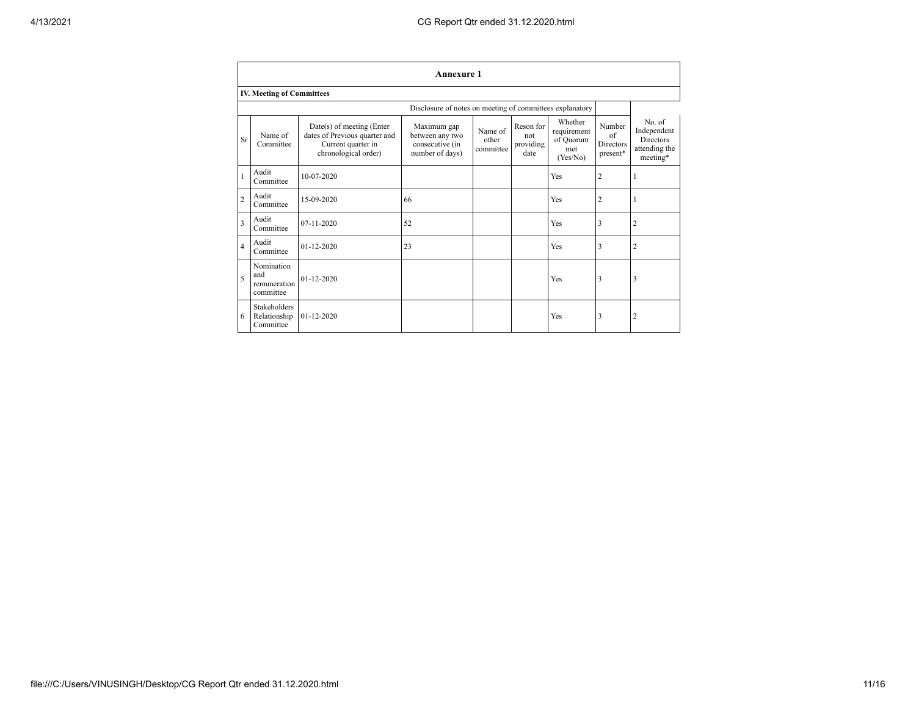|                | <b>Annexure 1</b>                                |                                                                                                          |                                                                      |                               |                                       |                                                        |                                                      |                                                                        |  |  |  |
|----------------|--------------------------------------------------|----------------------------------------------------------------------------------------------------------|----------------------------------------------------------------------|-------------------------------|---------------------------------------|--------------------------------------------------------|------------------------------------------------------|------------------------------------------------------------------------|--|--|--|
|                | <b>IV. Meeting of Committees</b>                 |                                                                                                          |                                                                      |                               |                                       |                                                        |                                                      |                                                                        |  |  |  |
|                |                                                  |                                                                                                          | Disclosure of notes on meeting of committees explanatory             |                               |                                       |                                                        |                                                      |                                                                        |  |  |  |
| Sr             | Name of<br>Committee                             | Date(s) of meeting (Enter<br>dates of Previous quarter and<br>Current quarter in<br>chronological order) | Maximum gap<br>between any two<br>consecutive (in<br>number of days) | Name of<br>other<br>committee | Reson for<br>not<br>providing<br>date | Whether<br>requirement<br>of Quorum<br>met<br>(Yes/No) | Number<br>$\alpha$ f<br><b>Directors</b><br>present* | No. of<br>Independent<br><b>Directors</b><br>attending the<br>meeting* |  |  |  |
|                | Audit<br>Committee                               | 10-07-2020                                                                                               |                                                                      |                               |                                       | Yes                                                    | $\overline{2}$                                       | 1                                                                      |  |  |  |
| $\overline{c}$ | Audit<br>Committee                               | 15-09-2020                                                                                               | 66                                                                   |                               |                                       | Yes                                                    | 2                                                    |                                                                        |  |  |  |
| 3              | Audit<br>Committee                               | 07-11-2020                                                                                               | 52                                                                   |                               |                                       | Yes                                                    | 3                                                    | $\overline{c}$                                                         |  |  |  |
| $\overline{4}$ | Audit<br>Committee                               | $01 - 12 - 2020$                                                                                         | 23                                                                   |                               |                                       | Yes                                                    | 3                                                    | $\overline{2}$                                                         |  |  |  |
| 5              | Nomination<br>and<br>remuneration<br>committee   | $01 - 12 - 2020$                                                                                         |                                                                      |                               |                                       | Yes                                                    | 3                                                    | 3                                                                      |  |  |  |
| 6              | <b>Stakeholders</b><br>Relationship<br>Committee | $01 - 12 - 2020$                                                                                         |                                                                      |                               |                                       | Yes                                                    | 3                                                    | $\overline{c}$                                                         |  |  |  |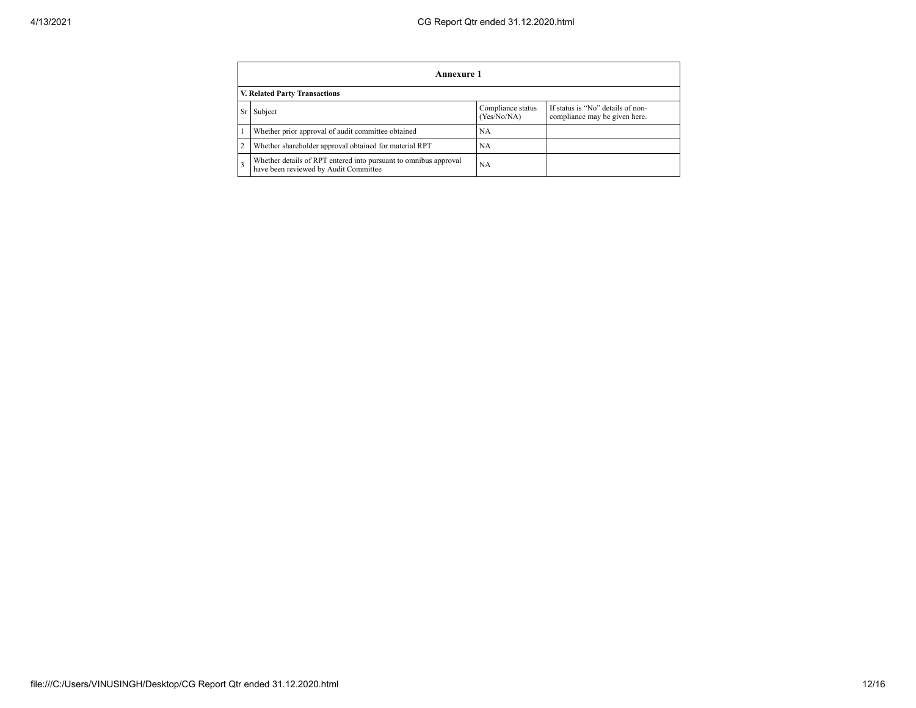|                                                                                                                         | Annexure 1                                                                                                |           |  |  |  |  |  |  |  |
|-------------------------------------------------------------------------------------------------------------------------|-----------------------------------------------------------------------------------------------------------|-----------|--|--|--|--|--|--|--|
|                                                                                                                         | <b>V. Related Party Transactions</b>                                                                      |           |  |  |  |  |  |  |  |
| If status is "No" details of non-<br>Compliance status<br>Subject<br>Sr<br>(Yes/No/NA)<br>compliance may be given here. |                                                                                                           |           |  |  |  |  |  |  |  |
|                                                                                                                         | Whether prior approval of audit committee obtained                                                        | NA        |  |  |  |  |  |  |  |
|                                                                                                                         | Whether shareholder approval obtained for material RPT                                                    | <b>NA</b> |  |  |  |  |  |  |  |
|                                                                                                                         | Whether details of RPT entered into pursuant to omnibus approval<br>have been reviewed by Audit Committee | <b>NA</b> |  |  |  |  |  |  |  |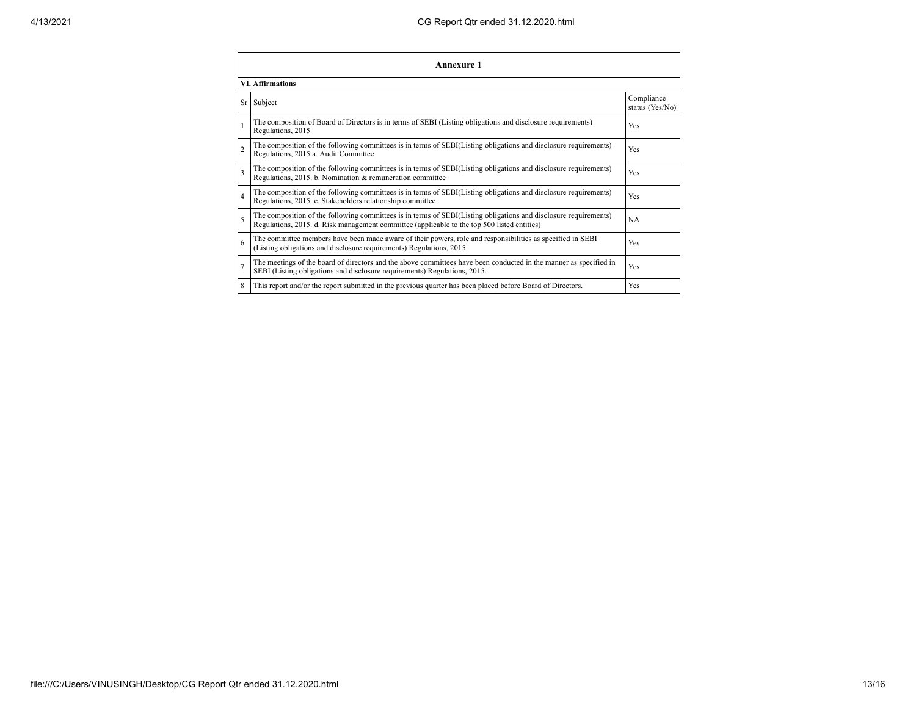| Annexure 1              |                                                                                                                                                                                                                 |                               |  |  |
|-------------------------|-----------------------------------------------------------------------------------------------------------------------------------------------------------------------------------------------------------------|-------------------------------|--|--|
| <b>VI.</b> Affirmations |                                                                                                                                                                                                                 |                               |  |  |
|                         | Sr Subject                                                                                                                                                                                                      | Compliance<br>status (Yes/No) |  |  |
|                         | The composition of Board of Directors is in terms of SEBI (Listing obligations and disclosure requirements)<br>Regulations, 2015                                                                                | Yes                           |  |  |
| $\overline{2}$          | The composition of the following committees is in terms of SEBI(Listing obligations and disclosure requirements)<br>Regulations, 2015 a. Audit Committee                                                        | Yes                           |  |  |
| 3                       | The composition of the following committees is in terms of SEBI(Listing obligations and disclosure requirements)<br>Regulations, 2015. b. Nomination & remuneration committee                                   | Yes                           |  |  |
| $\overline{4}$          | The composition of the following committees is in terms of SEBI(Listing obligations and disclosure requirements)<br>Regulations, 2015. c. Stakeholders relationship committee                                   | Yes                           |  |  |
| 5                       | The composition of the following committees is in terms of SEBI(Listing obligations and disclosure requirements)<br>Regulations, 2015. d. Risk management committee (applicable to the top 500 listed entities) | NA                            |  |  |
| 6                       | The committee members have been made aware of their powers, role and responsibilities as specified in SEBI<br>(Listing obligations and disclosure requirements) Regulations, 2015.                              | Yes                           |  |  |
| $\overline{7}$          | The meetings of the board of directors and the above committees have been conducted in the manner as specified in<br>SEBI (Listing obligations and disclosure requirements) Regulations, 2015.                  | Yes                           |  |  |
| 8                       | This report and/or the report submitted in the previous quarter has been placed before Board of Directors.                                                                                                      | Yes                           |  |  |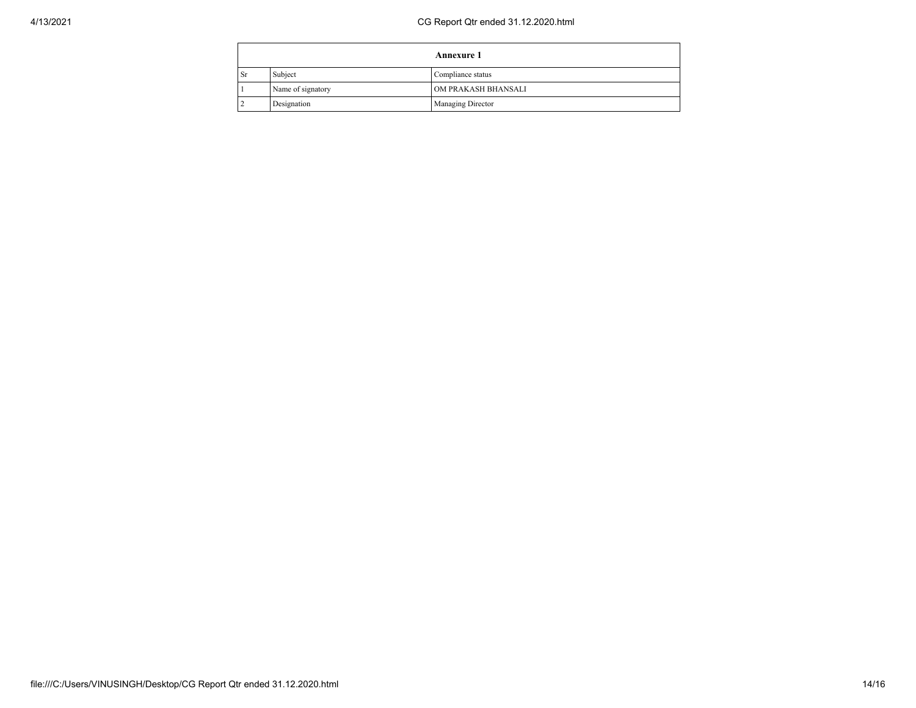|           |                   | <b>Annexure 1</b>        |  |
|-----------|-------------------|--------------------------|--|
| <b>Sr</b> | Subject           | Compliance status        |  |
|           | Name of signatory | OM PRAKASH BHANSALI      |  |
|           | Designation       | <b>Managing Director</b> |  |